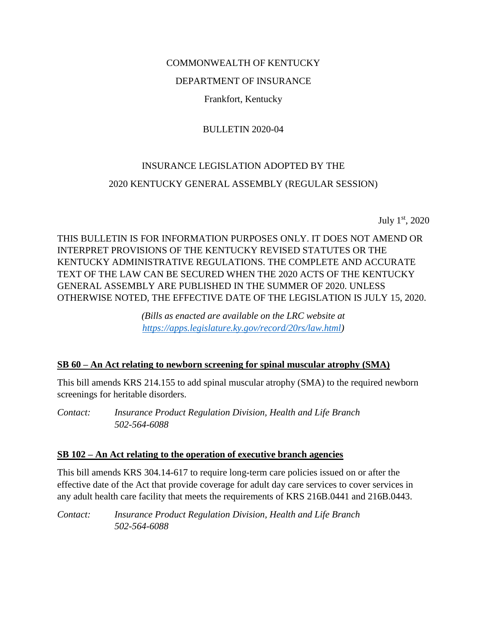#### COMMONWEALTH OF KENTUCKY

#### DEPARTMENT OF INSURANCE

Frankfort, Kentucky

#### BULLETIN 2020-04

# INSURANCE LEGISLATION ADOPTED BY THE 2020 KENTUCKY GENERAL ASSEMBLY (REGULAR SESSION)

July 1st, 2020

## THIS BULLETIN IS FOR INFORMATION PURPOSES ONLY. IT DOES NOT AMEND OR INTERPRET PROVISIONS OF THE KENTUCKY REVISED STATUTES OR THE KENTUCKY ADMINISTRATIVE REGULATIONS. THE COMPLETE AND ACCURATE TEXT OF THE LAW CAN BE SECURED WHEN THE 2020 ACTS OF THE KENTUCKY GENERAL ASSEMBLY ARE PUBLISHED IN THE SUMMER OF 2020. UNLESS OTHERWISE NOTED, THE EFFECTIVE DATE OF THE LEGISLATION IS JULY 15, 2020.

*(Bills as enacted are available on the LRC website at [https://apps.legislature.ky.gov/record/20rs/law.html\)](https://apps.legislature.ky.gov/record/20rs/law.html)*

#### **SB 60 – An Act relating to newborn screening for spinal muscular atrophy (SMA)**

This bill amends KRS 214.155 to add spinal muscular atrophy (SMA) to the required newborn screenings for heritable disorders.

*Contact: Insurance Product Regulation Division, Health and Life Branch 502-564-6088*

#### **SB 102 – An Act relating to the operation of executive branch agencies**

This bill amends KRS 304.14-617 to require long-term care policies issued on or after the effective date of the Act that provide coverage for adult day care services to cover services in any adult health care facility that meets the requirements of KRS 216B.0441 and 216B.0443.

*Contact: Insurance Product Regulation Division, Health and Life Branch 502-564-6088*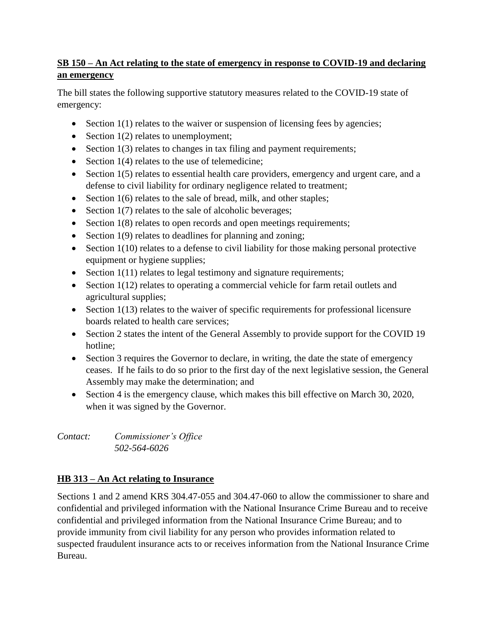## **SB 150 – An Act relating to the state of emergency in response to COVID-19 and declaring an emergency**

The bill states the following supportive statutory measures related to the COVID-19 state of emergency:

- Section  $1(1)$  relates to the waiver or suspension of licensing fees by agencies;
- Section  $1(2)$  relates to unemployment;
- $\bullet$  Section 1(3) relates to changes in tax filing and payment requirements;
- Section  $1(4)$  relates to the use of telemedicine;
- Section 1(5) relates to essential health care providers, emergency and urgent care, and a defense to civil liability for ordinary negligence related to treatment;
- $\bullet$  Section 1(6) relates to the sale of bread, milk, and other staples;
- Section  $1(7)$  relates to the sale of alcoholic beverages;
- $\bullet$  Section 1(8) relates to open records and open meetings requirements;
- Section  $1(9)$  relates to deadlines for planning and zoning;
- Section 1(10) relates to a defense to civil liability for those making personal protective equipment or hygiene supplies;
- $\bullet$  Section 1(11) relates to legal testimony and signature requirements;
- Section 1(12) relates to operating a commercial vehicle for farm retail outlets and agricultural supplies;
- Section 1(13) relates to the waiver of specific requirements for professional licensure boards related to health care services;
- Section 2 states the intent of the General Assembly to provide support for the COVID 19 hotline;
- Section 3 requires the Governor to declare, in writing, the date the state of emergency ceases. If he fails to do so prior to the first day of the next legislative session, the General Assembly may make the determination; and
- Section 4 is the emergency clause, which makes this bill effective on March 30, 2020, when it was signed by the Governor.

*Contact: Commissioner's Office 502-564-6026*

# **HB 313 – An Act relating to Insurance**

Sections 1 and 2 amend KRS 304.47-055 and 304.47-060 to allow the commissioner to share and confidential and privileged information with the National Insurance Crime Bureau and to receive confidential and privileged information from the National Insurance Crime Bureau; and to provide immunity from civil liability for any person who provides information related to suspected fraudulent insurance acts to or receives information from the National Insurance Crime Bureau.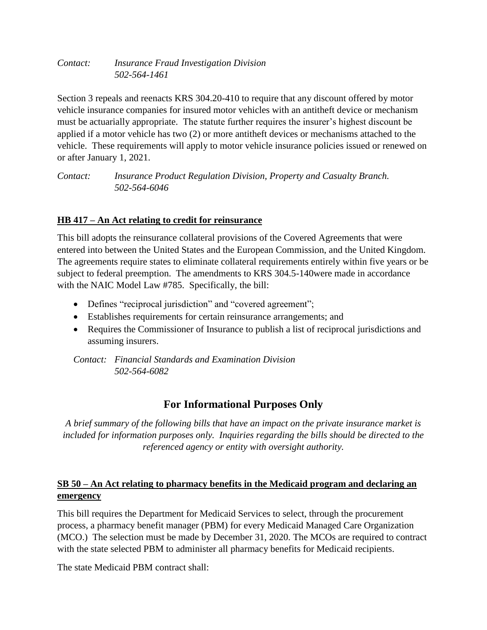*Contact: Insurance Fraud Investigation Division 502-564-1461*

Section 3 repeals and reenacts KRS 304.20-410 to require that any discount offered by motor vehicle insurance companies for insured motor vehicles with an antitheft device or mechanism must be actuarially appropriate. The statute further requires the insurer's highest discount be applied if a motor vehicle has two (2) or more antitheft devices or mechanisms attached to the vehicle. These requirements will apply to motor vehicle insurance policies issued or renewed on or after January 1, 2021.

*Contact: Insurance Product Regulation Division, Property and Casualty Branch. 502-564-6046*

#### **HB 417 – An Act relating to credit for reinsurance**

This bill adopts the reinsurance collateral provisions of the Covered Agreements that were entered into between the United States and the European Commission, and the United Kingdom. The agreements require states to eliminate collateral requirements entirely within five years or be subject to federal preemption. The amendments to KRS 304.5-140were made in accordance with the NAIC Model Law #785. Specifically, the bill:

- Defines "reciprocal jurisdiction" and "covered agreement";
- Establishes requirements for certain reinsurance arrangements; and
- Requires the Commissioner of Insurance to publish a list of reciprocal jurisdictions and assuming insurers.

*Contact: Financial Standards and Examination Division 502-564-6082*

# **For Informational Purposes Only**

*A brief summary of the following bills that have an impact on the private insurance market is included for information purposes only. Inquiries regarding the bills should be directed to the referenced agency or entity with oversight authority.*

## **SB 50 – An Act relating to pharmacy benefits in the Medicaid program and declaring an emergency**

This bill requires the Department for Medicaid Services to select, through the procurement process, a pharmacy benefit manager (PBM) for every Medicaid Managed Care Organization (MCO.) The selection must be made by December 31, 2020. The MCOs are required to contract with the state selected PBM to administer all pharmacy benefits for Medicaid recipients.

The state Medicaid PBM contract shall: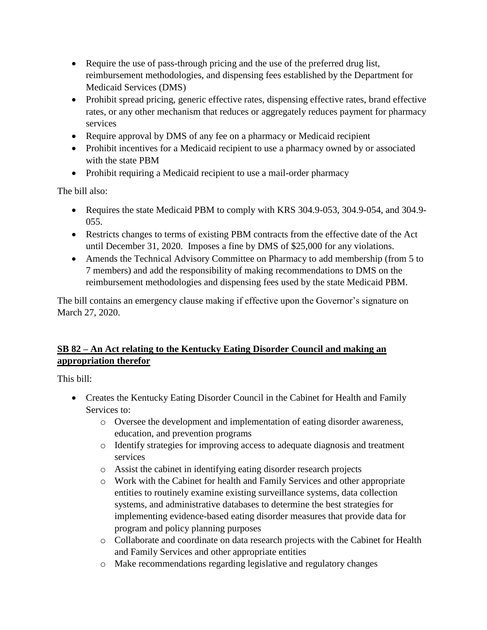- Require the use of pass-through pricing and the use of the preferred drug list, reimbursement methodologies, and dispensing fees established by the Department for Medicaid Services (DMS)
- Prohibit spread pricing, generic effective rates, dispensing effective rates, brand effective rates, or any other mechanism that reduces or aggregately reduces payment for pharmacy services
- Require approval by DMS of any fee on a pharmacy or Medicaid recipient
- Prohibit incentives for a Medicaid recipient to use a pharmacy owned by or associated with the state PBM
- Prohibit requiring a Medicaid recipient to use a mail-order pharmacy

The bill also:

- Requires the state Medicaid PBM to comply with KRS 304.9-053, 304.9-054, and 304.9- 055.
- Restricts changes to terms of existing PBM contracts from the effective date of the Act until December 31, 2020. Imposes a fine by DMS of \$25,000 for any violations.
- Amends the Technical Advisory Committee on Pharmacy to add membership (from 5 to 7 members) and add the responsibility of making recommendations to DMS on the reimbursement methodologies and dispensing fees used by the state Medicaid PBM.

The bill contains an emergency clause making if effective upon the Governor's signature on March 27, 2020.

## **SB 82 – An Act relating to the Kentucky Eating Disorder Council and making an appropriation therefor**

This bill:

- Creates the Kentucky Eating Disorder Council in the Cabinet for Health and Family Services to:
	- o Oversee the development and implementation of eating disorder awareness, education, and prevention programs
	- o Identify strategies for improving access to adequate diagnosis and treatment services
	- o Assist the cabinet in identifying eating disorder research projects
	- o Work with the Cabinet for health and Family Services and other appropriate entities to routinely examine existing surveillance systems, data collection systems, and administrative databases to determine the best strategies for implementing evidence-based eating disorder measures that provide data for program and policy planning purposes
	- o Collaborate and coordinate on data research projects with the Cabinet for Health and Family Services and other appropriate entities
	- o Make recommendations regarding legislative and regulatory changes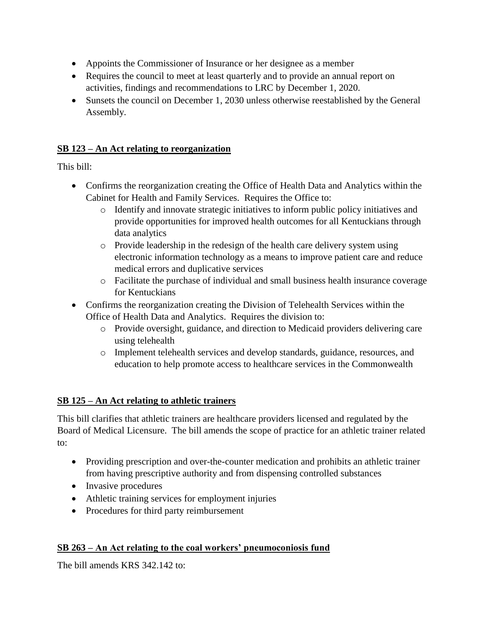- Appoints the Commissioner of Insurance or her designee as a member
- Requires the council to meet at least quarterly and to provide an annual report on activities, findings and recommendations to LRC by December 1, 2020.
- Sunsets the council on December 1, 2030 unless otherwise reestablished by the General Assembly.

#### **SB 123 – An Act relating to reorganization**

This bill:

- Confirms the reorganization creating the Office of Health Data and Analytics within the Cabinet for Health and Family Services. Requires the Office to:
	- o Identify and innovate strategic initiatives to inform public policy initiatives and provide opportunities for improved health outcomes for all Kentuckians through data analytics
	- o Provide leadership in the redesign of the health care delivery system using electronic information technology as a means to improve patient care and reduce medical errors and duplicative services
	- o Facilitate the purchase of individual and small business health insurance coverage for Kentuckians
- Confirms the reorganization creating the Division of Telehealth Services within the Office of Health Data and Analytics. Requires the division to:
	- o Provide oversight, guidance, and direction to Medicaid providers delivering care using telehealth
	- o Implement telehealth services and develop standards, guidance, resources, and education to help promote access to healthcare services in the Commonwealth

## **SB 125 – An Act relating to athletic trainers**

This bill clarifies that athletic trainers are healthcare providers licensed and regulated by the Board of Medical Licensure. The bill amends the scope of practice for an athletic trainer related to:

- Providing prescription and over-the-counter medication and prohibits an athletic trainer from having prescriptive authority and from dispensing controlled substances
- Invasive procedures
- Athletic training services for employment injuries
- Procedures for third party reimbursement

## **SB 263 – An Act relating to the coal workers' pneumoconiosis fund**

The bill amends KRS 342.142 to: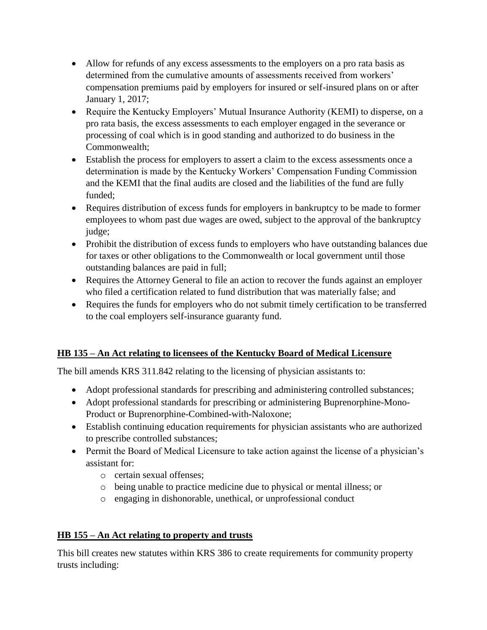- Allow for refunds of any excess assessments to the employers on a pro rata basis as determined from the cumulative amounts of assessments received from workers' compensation premiums paid by employers for insured or self-insured plans on or after January 1, 2017;
- Require the Kentucky Employers' Mutual Insurance Authority (KEMI) to disperse, on a pro rata basis, the excess assessments to each employer engaged in the severance or processing of coal which is in good standing and authorized to do business in the Commonwealth;
- Establish the process for employers to assert a claim to the excess assessments once a determination is made by the Kentucky Workers' Compensation Funding Commission and the KEMI that the final audits are closed and the liabilities of the fund are fully funded;
- Requires distribution of excess funds for employers in bankruptcy to be made to former employees to whom past due wages are owed, subject to the approval of the bankruptcy judge;
- Prohibit the distribution of excess funds to employers who have outstanding balances due for taxes or other obligations to the Commonwealth or local government until those outstanding balances are paid in full;
- Requires the Attorney General to file an action to recover the funds against an employer who filed a certification related to fund distribution that was materially false; and
- Requires the funds for employers who do not submit timely certification to be transferred to the coal employers self-insurance guaranty fund.

# **HB 135 – An Act relating to licensees of the Kentucky Board of Medical Licensure**

The bill amends KRS 311.842 relating to the licensing of physician assistants to:

- Adopt professional standards for prescribing and administering controlled substances;
- Adopt professional standards for prescribing or administering Buprenorphine-Mono-Product or Buprenorphine-Combined-with-Naloxone;
- Establish continuing education requirements for physician assistants who are authorized to prescribe controlled substances;
- Permit the Board of Medical Licensure to take action against the license of a physician's assistant for:
	- o certain sexual offenses;
	- o being unable to practice medicine due to physical or mental illness; or
	- o engaging in dishonorable, unethical, or unprofessional conduct

# **HB 155 – An Act relating to property and trusts**

This bill creates new statutes within KRS 386 to create requirements for community property trusts including: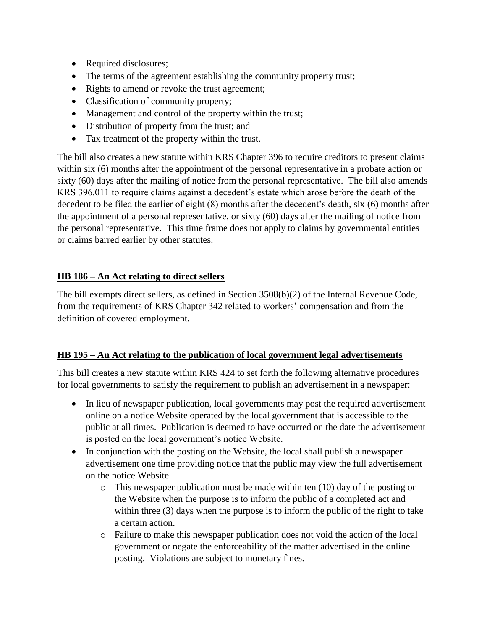- Required disclosures;
- The terms of the agreement establishing the community property trust;
- Rights to amend or revoke the trust agreement;
- Classification of community property;
- Management and control of the property within the trust;
- Distribution of property from the trust; and
- Tax treatment of the property within the trust.

The bill also creates a new statute within KRS Chapter 396 to require creditors to present claims within six (6) months after the appointment of the personal representative in a probate action or sixty (60) days after the mailing of notice from the personal representative. The bill also amends KRS 396.011 to require claims against a decedent's estate which arose before the death of the decedent to be filed the earlier of eight (8) months after the decedent's death, six (6) months after the appointment of a personal representative, or sixty (60) days after the mailing of notice from the personal representative. This time frame does not apply to claims by governmental entities or claims barred earlier by other statutes.

#### **HB 186 – An Act relating to direct sellers**

The bill exempts direct sellers, as defined in Section 3508(b)(2) of the Internal Revenue Code, from the requirements of KRS Chapter 342 related to workers' compensation and from the definition of covered employment.

#### **HB 195 – An Act relating to the publication of local government legal advertisements**

This bill creates a new statute within KRS 424 to set forth the following alternative procedures for local governments to satisfy the requirement to publish an advertisement in a newspaper:

- In lieu of newspaper publication, local governments may post the required advertisement online on a notice Website operated by the local government that is accessible to the public at all times. Publication is deemed to have occurred on the date the advertisement is posted on the local government's notice Website.
- In conjunction with the posting on the Website, the local shall publish a newspaper advertisement one time providing notice that the public may view the full advertisement on the notice Website.
	- o This newspaper publication must be made within ten (10) day of the posting on the Website when the purpose is to inform the public of a completed act and within three (3) days when the purpose is to inform the public of the right to take a certain action.
	- o Failure to make this newspaper publication does not void the action of the local government or negate the enforceability of the matter advertised in the online posting. Violations are subject to monetary fines.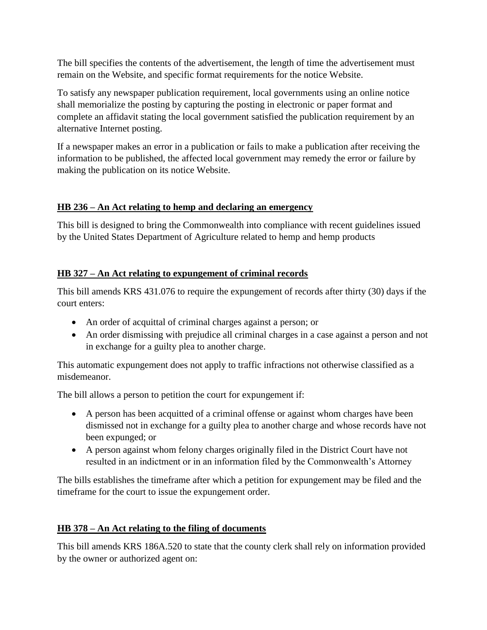The bill specifies the contents of the advertisement, the length of time the advertisement must remain on the Website, and specific format requirements for the notice Website.

To satisfy any newspaper publication requirement, local governments using an online notice shall memorialize the posting by capturing the posting in electronic or paper format and complete an affidavit stating the local government satisfied the publication requirement by an alternative Internet posting.

If a newspaper makes an error in a publication or fails to make a publication after receiving the information to be published, the affected local government may remedy the error or failure by making the publication on its notice Website.

## **HB 236 – An Act relating to hemp and declaring an emergency**

This bill is designed to bring the Commonwealth into compliance with recent guidelines issued by the United States Department of Agriculture related to hemp and hemp products

## **HB 327 – An Act relating to expungement of criminal records**

This bill amends KRS 431.076 to require the expungement of records after thirty (30) days if the court enters:

- An order of acquittal of criminal charges against a person; or
- An order dismissing with prejudice all criminal charges in a case against a person and not in exchange for a guilty plea to another charge.

This automatic expungement does not apply to traffic infractions not otherwise classified as a misdemeanor.

The bill allows a person to petition the court for expungement if:

- A person has been acquitted of a criminal offense or against whom charges have been dismissed not in exchange for a guilty plea to another charge and whose records have not been expunged; or
- A person against whom felony charges originally filed in the District Court have not resulted in an indictment or in an information filed by the Commonwealth's Attorney

The bills establishes the timeframe after which a petition for expungement may be filed and the timeframe for the court to issue the expungement order.

## **HB 378 – An Act relating to the filing of documents**

This bill amends KRS 186A.520 to state that the county clerk shall rely on information provided by the owner or authorized agent on: